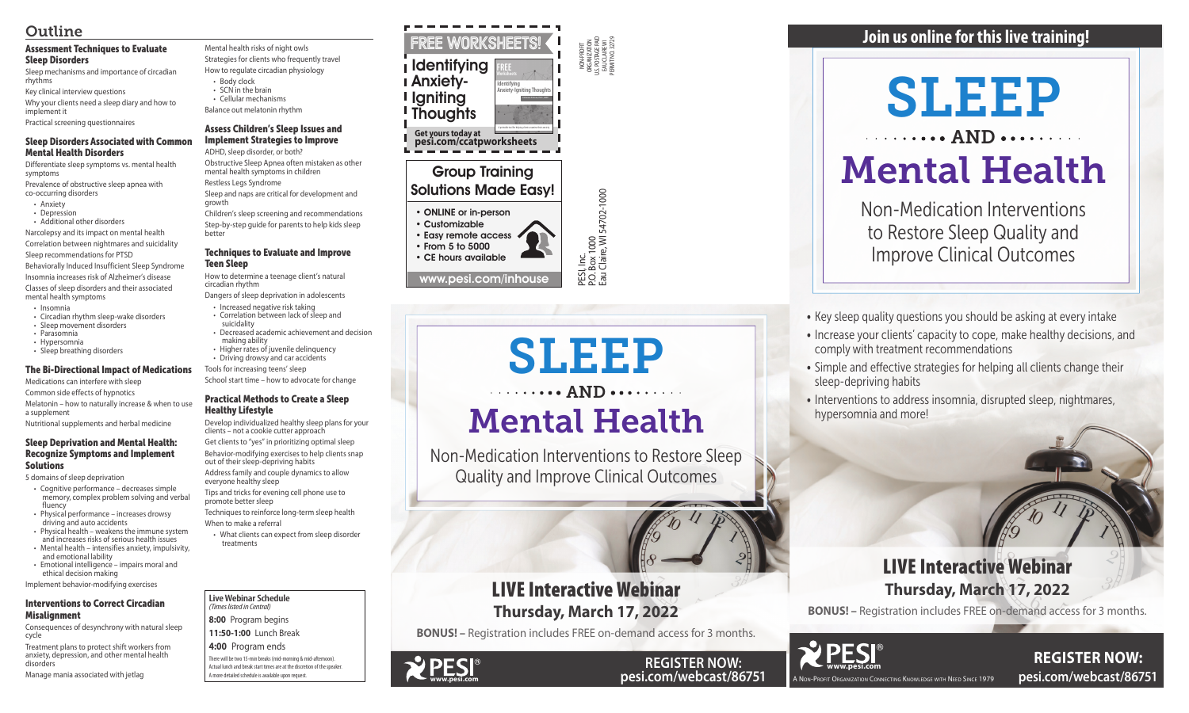NON-PROFIT ORGANIZATION U.S. POSTAGE PAID EAU CLAIRE WI PERMIT NO. 32729

P.O. Box 1000

Eau Claire, WI 54702-1000

PESI, Inc.<br>P.O. Box 1000<br>Eau Claire, WI 54702-1000 www.pesi.com/inhouse

### Group Training Solutions Made Easy!

• ONLINE or in-person

• Customizable • Easy remote access • From 5 to 5000

• CE hours available

#### **Live Webinar Schedule**  *(Times listed in Central)*

**8:00** Program begins

**11:50-1:00** Lunch Break

**4:00** Program ends

# SLEEP . . . . . . . . . AND . . . . . . . . .

There will be two 15-min breaks (mid-morning & mid-afternoon). Actual lunch and break start times are at the discretion of the speaker. A more detailed schedule is available upon request.

### **REGISTER NOW: pesi.com/webcast/86751**

• Key sleep quality questions you should be asking at every intake

A Non-Profit Organization Connecting Knowledge with Need Since 1979

## SLEEP  $\cdots$  AND.

- Increase your clients' capacity to cope, make healthy decisions, and comply with treatment recommendations
- Simple and effective strategies for helping all clients change their sleep-depriving habits
- Interventions to address insomnia, disrupted sleep, nightmares, hypersomnia and more!

## Mental Health

Non-Medication Interventions to Restore Sleep Quality and Improve Clinical Outcomes

### **Join us online for this live training!**

### LIVE Interactive Webinar **Thursday, March 17, 2022**

**BONUS! –** Registration includes FREE on-demand access for 3 months.

### LIVE Interactive Webinar **Thursday, March 17, 2022**

**BONUS! –** Registration includes FREE on-demand access for 3 months.





- 
- 

# Mental Health

Non-Medication Interventions to Restore Sleep Quality and Improve Clinical Outcomes

### Assessment Techniques to Evaluate Sleep Disorders

Sleep mechanisms and importance of circadian rhythms

Key clinical interview questions

Why your clients need a sleep diary and how to implement it

Practical screening questionnaires

### Sleep Disorders Associated with Common Mental Health Disorders

Differentiate sleep symptoms vs. mental health symptoms

Prevalence of obstructive sleep apnea with co-occurring disorders

- Anxiety
- Depression

• Additional other disorders Narcolepsy and its impact on mental health

Correlation between nightmares and suicidality Sleep recommendations for PTSD Behaviorally Induced Insufficient Sleep Syndrome Insomnia increases risk of Alzheimer's disease Classes of sleep disorders and their associated mental health symptoms

- Insomnia
- Circadian rhythm sleep-wake disorders
- Sleep movement disorders
- Parasomnia
- Hypersomnia
- Sleep breathing disorders

### The Bi-Directional Impact of Medications

Medications can interfere with sleep

Common side effects of hypnotics

Melatonin – how to naturally increase & when to use a supplement

#### FREE WORKSHEETS Identifying Anxiety-**I** Igniting **Thoughts Get yours today at pesi.com/ccatpworksheets** A printable tool for helping clients examine their anxiety. **FREE Worksheets Identifying Anxiety-Igniting Thoughts Catherine Pittman, Ph.D., HSPP**

Nutritional supplements and herbal medicine

### Sleep Deprivation and Mental Health: Recognize Symptoms and Implement Solutions

5 domains of sleep deprivation

- Cognitive performance decreases simple memory, complex problem solving and verbal fluency
- Physical performance increases drowsy driving and auto accidents
- Physical health weakens the immune system and increases risks of serious health issues • Mental health – intensifies anxiety, impulsivity,
- and emotional lability • Emotional intelligence – impairs moral and
- ethical decision making Implement behavior-modifying exercises

### Interventions to Correct Circadian Misalignment

Consequences of desynchrony with natural sleep cycle

Treatment plans to protect shift workers from anxiety, depression, and other mental health disorders

Manage mania associated with jetlag

Mental health risks of night owls Strategies for clients who frequently travel

How to regulate circadian physiology

- Body clock • SCN in the brain
- Cellular mechanisms
- Balance out melatonin rhythm

### Assess Children's Sleep Issues and Implement Strategies to Improve

ADHD, sleep disorder, or both?

Obstructive Sleep Apnea often mistaken as other mental health symptoms in children Restless Legs Syndrome

Sleep and naps are critical for development and growth

Children's sleep screening and recommendations Step-by-step guide for parents to help kids sleep better

### Techniques to Evaluate and Improve Teen Sleep

How to determine a teenage client's natural circadian rhythm

- Dangers of sleep deprivation in adolescents
- Increased negative risk taking • Correlation between lack of sleep and
- suicidality
- Decreased academic achievement and decision making ability • Higher rates of juvenile delinquency
- Driving drowsy and car accidents
- Tools for increasing teens' sleep

School start time – how to advocate for change

### Practical Methods to Create a Sleep Healthy Lifestyle

Develop individualized healthy sleep plans for your clients – not a cookie cutter approach

Get clients to "yes" in prioritizing optimal sleep Behavior-modifying exercises to help clients snap

out of their sleep-depriving habits Address family and couple dynamics to allow everyone healthy sleep

Tips and tricks for evening cell phone use to promote better sleep

Techniques to reinforce long-term sleep health When to make a referral

• What clients can expect from sleep disorder treatments

### Outline